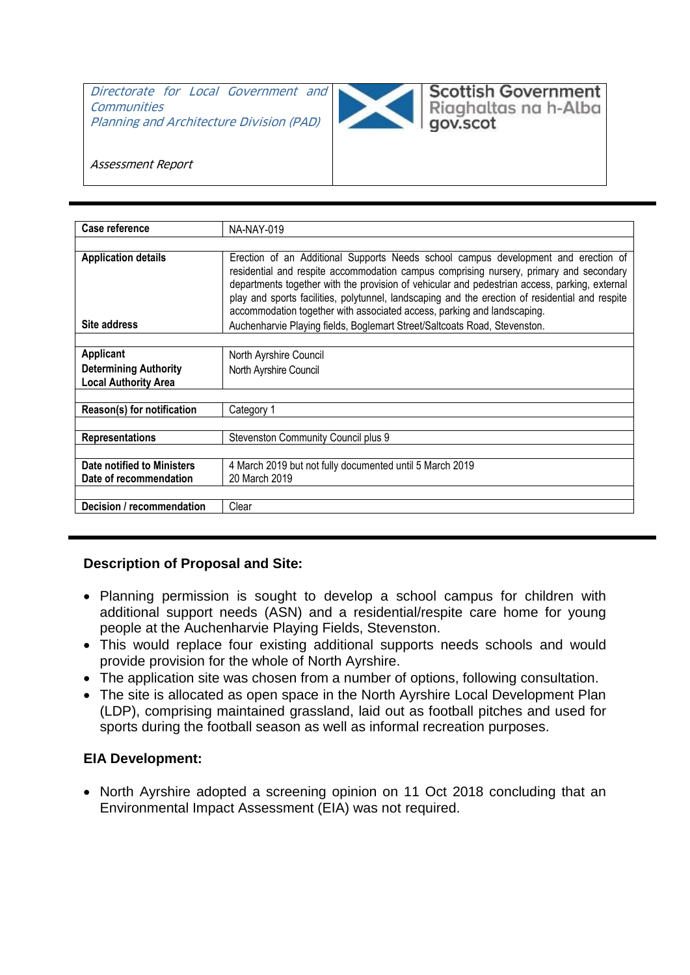Directorate for Local Government and **Communities** Planning and Architecture Division (PAD)



**Scottish Government** Riaghaltas na h-Alba

gov.scot

Assessment Report

| Case reference                                              | NA-NAY-019                                                                                                                                                                                                                                                                                                                                                                                                                                                  |
|-------------------------------------------------------------|-------------------------------------------------------------------------------------------------------------------------------------------------------------------------------------------------------------------------------------------------------------------------------------------------------------------------------------------------------------------------------------------------------------------------------------------------------------|
|                                                             |                                                                                                                                                                                                                                                                                                                                                                                                                                                             |
| <b>Application details</b>                                  | Erection of an Additional Supports Needs school campus development and erection of<br>residential and respite accommodation campus comprising nursery, primary and secondary<br>departments together with the provision of vehicular and pedestrian access, parking, external<br>play and sports facilities, polytunnel, landscaping and the erection of residential and respite<br>accommodation together with associated access, parking and landscaping. |
| Site address                                                | Auchenharvie Playing fields, Boglemart Street/Saltcoats Road, Stevenston.                                                                                                                                                                                                                                                                                                                                                                                   |
|                                                             |                                                                                                                                                                                                                                                                                                                                                                                                                                                             |
| Applicant                                                   | North Ayrshire Council                                                                                                                                                                                                                                                                                                                                                                                                                                      |
| <b>Determining Authority</b><br><b>Local Authority Area</b> | North Ayrshire Council                                                                                                                                                                                                                                                                                                                                                                                                                                      |
|                                                             |                                                                                                                                                                                                                                                                                                                                                                                                                                                             |
| Reason(s) for notification                                  | Category 1                                                                                                                                                                                                                                                                                                                                                                                                                                                  |
| <b>Representations</b>                                      | Stevenston Community Council plus 9                                                                                                                                                                                                                                                                                                                                                                                                                         |
|                                                             |                                                                                                                                                                                                                                                                                                                                                                                                                                                             |
| Date notified to Ministers                                  | 4 March 2019 but not fully documented until 5 March 2019                                                                                                                                                                                                                                                                                                                                                                                                    |
| Date of recommendation                                      | 20 March 2019                                                                                                                                                                                                                                                                                                                                                                                                                                               |
| Decision / recommendation                                   | Clear                                                                                                                                                                                                                                                                                                                                                                                                                                                       |

### **Description of Proposal and Site:**

- Planning permission is sought to develop a school campus for children with additional support needs (ASN) and a residential/respite care home for young people at the Auchenharvie Playing Fields, Stevenston.
- This would replace four existing additional supports needs schools and would provide provision for the whole of North Ayrshire.
- The application site was chosen from a number of options, following consultation.
- The site is allocated as open space in the North Ayrshire Local Development Plan (LDP), comprising maintained grassland, laid out as football pitches and used for sports during the football season as well as informal recreation purposes.

### **EIA Development:**

• North Ayrshire adopted a screening opinion on 11 Oct 2018 concluding that an Environmental Impact Assessment (EIA) was not required.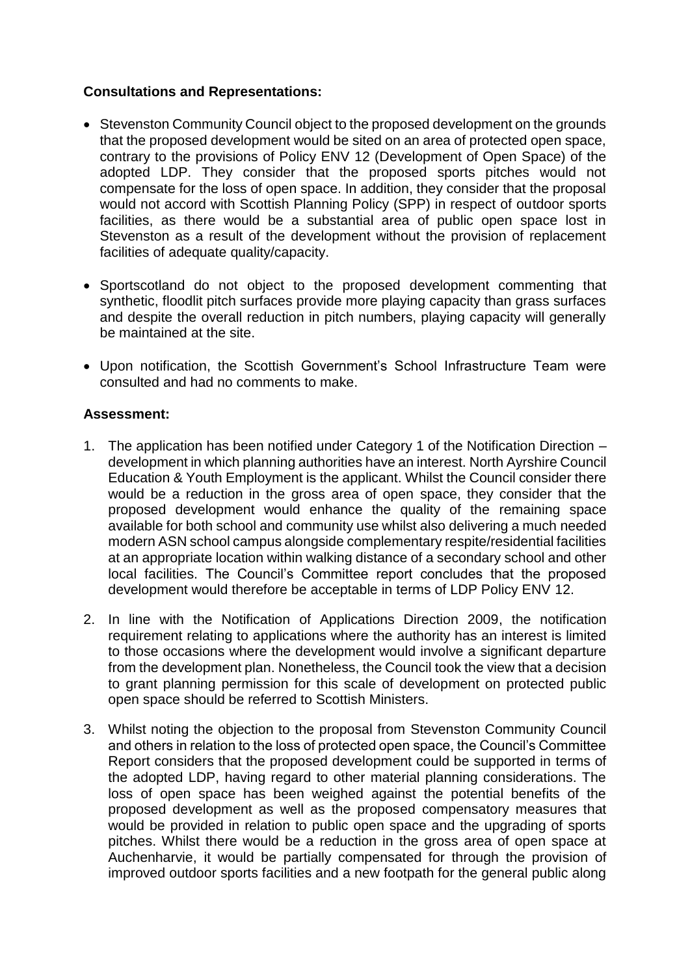## **Consultations and Representations:**

- Stevenston Community Council object to the proposed development on the grounds that the proposed development would be sited on an area of protected open space, contrary to the provisions of Policy ENV 12 (Development of Open Space) of the adopted LDP. They consider that the proposed sports pitches would not compensate for the loss of open space. In addition, they consider that the proposal would not accord with Scottish Planning Policy (SPP) in respect of outdoor sports facilities, as there would be a substantial area of public open space lost in Stevenston as a result of the development without the provision of replacement facilities of adequate quality/capacity.
- Sportscotland do not object to the proposed development commenting that synthetic, floodlit pitch surfaces provide more playing capacity than grass surfaces and despite the overall reduction in pitch numbers, playing capacity will generally be maintained at the site.
- Upon notification, the Scottish Government's School Infrastructure Team were consulted and had no comments to make.

### **Assessment:**

- 1. The application has been notified under Category 1 of the Notification Direction development in which planning authorities have an interest. North Ayrshire Council Education & Youth Employment is the applicant. Whilst the Council consider there would be a reduction in the gross area of open space, they consider that the proposed development would enhance the quality of the remaining space available for both school and community use whilst also delivering a much needed modern ASN school campus alongside complementary respite/residential facilities at an appropriate location within walking distance of a secondary school and other local facilities. The Council's Committee report concludes that the proposed development would therefore be acceptable in terms of LDP Policy ENV 12.
- 2. In line with the Notification of Applications Direction 2009, the notification requirement relating to applications where the authority has an interest is limited to those occasions where the development would involve a significant departure from the development plan. Nonetheless, the Council took the view that a decision to grant planning permission for this scale of development on protected public open space should be referred to Scottish Ministers.
- 3. Whilst noting the objection to the proposal from Stevenston Community Council and others in relation to the loss of protected open space, the Council's Committee Report considers that the proposed development could be supported in terms of the adopted LDP, having regard to other material planning considerations. The loss of open space has been weighed against the potential benefits of the proposed development as well as the proposed compensatory measures that would be provided in relation to public open space and the upgrading of sports pitches. Whilst there would be a reduction in the gross area of open space at Auchenharvie, it would be partially compensated for through the provision of improved outdoor sports facilities and a new footpath for the general public along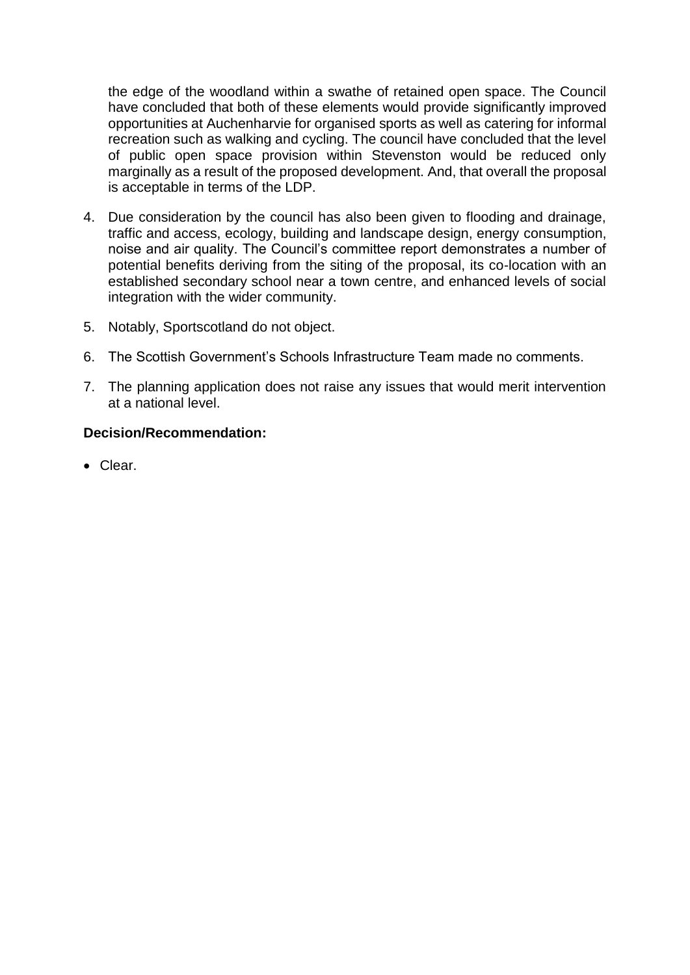the edge of the woodland within a swathe of retained open space. The Council have concluded that both of these elements would provide significantly improved opportunities at Auchenharvie for organised sports as well as catering for informal recreation such as walking and cycling. The council have concluded that the level of public open space provision within Stevenston would be reduced only marginally as a result of the proposed development. And, that overall the proposal is acceptable in terms of the LDP.

- 4. Due consideration by the council has also been given to flooding and drainage, traffic and access, ecology, building and landscape design, energy consumption, noise and air quality. The Council's committee report demonstrates a number of potential benefits deriving from the siting of the proposal, its co-location with an established secondary school near a town centre, and enhanced levels of social integration with the wider community.
- 5. Notably, Sportscotland do not object.
- 6. The Scottish Government's Schools Infrastructure Team made no comments.
- 7. The planning application does not raise any issues that would merit intervention at a national level.

## **Decision/Recommendation:**

Clear.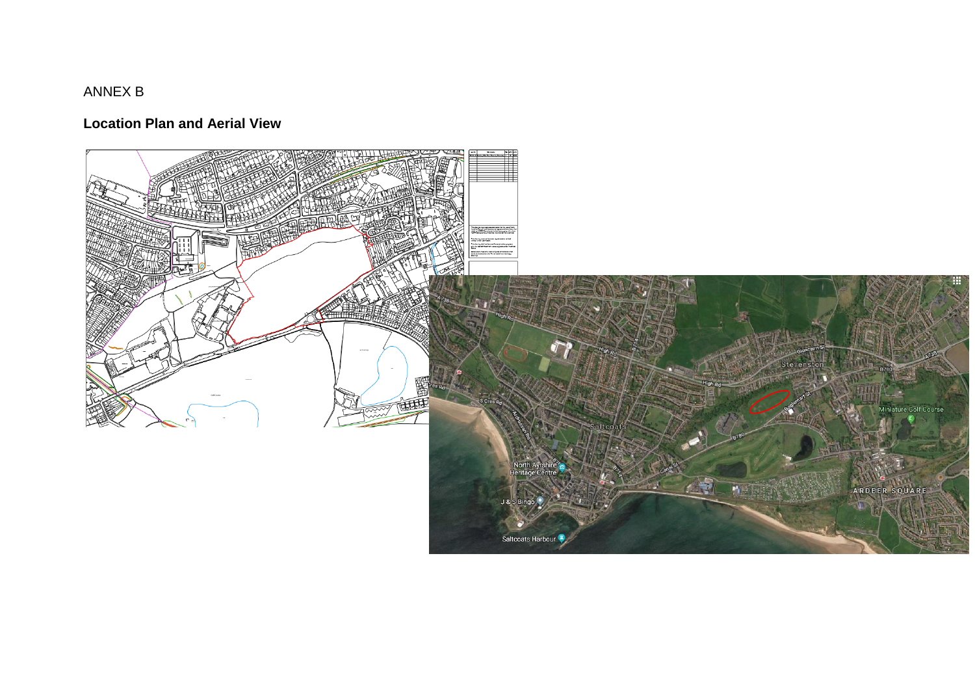# ANNEX B

# **Location Plan and Aerial View**